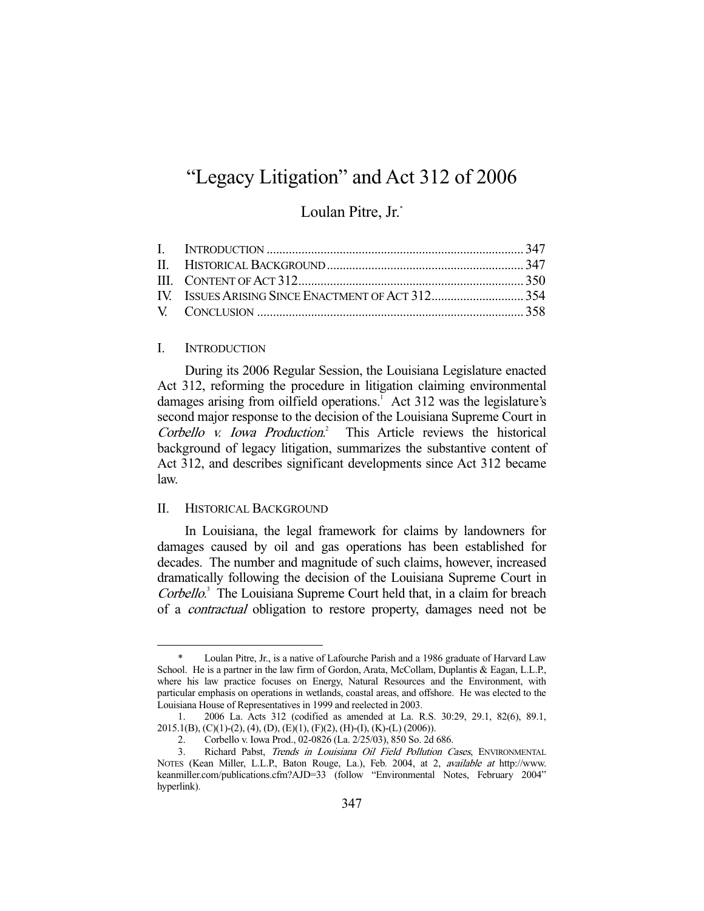# "Legacy Litigation" and Act 312 of 2006

Loulan Pitre, Jr.\*

# I. INTRODUCTION

-

 During its 2006 Regular Session, the Louisiana Legislature enacted Act 312, reforming the procedure in litigation claiming environmental damages arising from oilfield operations.<sup>1</sup> Act 312 was the legislature's second major response to the decision of the Louisiana Supreme Court in Corbello v. Iowa Production.<sup>2</sup> This Article reviews the historical background of legacy litigation, summarizes the substantive content of Act 312, and describes significant developments since Act 312 became law.

#### II. HISTORICAL BACKGROUND

 In Louisiana, the legal framework for claims by landowners for damages caused by oil and gas operations has been established for decades. The number and magnitude of such claims, however, increased dramatically following the decision of the Louisiana Supreme Court in Corbello.<sup>3</sup> The Louisiana Supreme Court held that, in a claim for breach of a contractual obligation to restore property, damages need not be

Loulan Pitre, Jr., is a native of Lafourche Parish and a 1986 graduate of Harvard Law School. He is a partner in the law firm of Gordon, Arata, McCollam, Duplantis & Eagan, L.L.P., where his law practice focuses on Energy, Natural Resources and the Environment, with particular emphasis on operations in wetlands, coastal areas, and offshore. He was elected to the Louisiana House of Representatives in 1999 and reelected in 2003.

 <sup>1. 2006</sup> La. Acts 312 (codified as amended at La. R.S. 30:29, 29.1, 82(6), 89.1, 2015.1(B), (C)(1)-(2), (4), (D), (E)(1), (F)(2), (H)-(I), (K)-(L) (2006)).

 <sup>2.</sup> Corbello v. Iowa Prod., 02-0826 (La. 2/25/03), 850 So. 2d 686.

 <sup>3.</sup> Richard Pabst, Trends in Louisiana Oil Field Pollution Cases, ENVIRONMENTAL NOTES (Kean Miller, L.L.P., Baton Rouge, La.), Feb. 2004, at 2, available at http://www. keanmiller.com/publications.cfm?AJD=33 (follow "Environmental Notes, February 2004" hyperlink).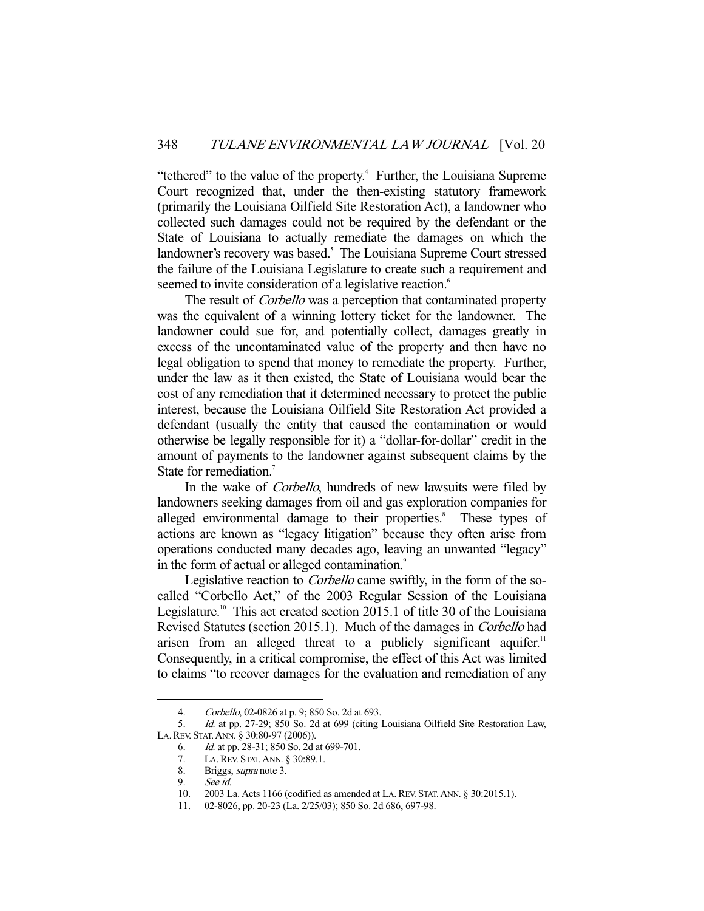"tethered" to the value of the property.<sup>4</sup> Further, the Louisiana Supreme Court recognized that, under the then-existing statutory framework (primarily the Louisiana Oilfield Site Restoration Act), a landowner who collected such damages could not be required by the defendant or the State of Louisiana to actually remediate the damages on which the landowner's recovery was based.<sup>5</sup> The Louisiana Supreme Court stressed the failure of the Louisiana Legislature to create such a requirement and seemed to invite consideration of a legislative reaction.<sup>6</sup>

The result of *Corbello* was a perception that contaminated property was the equivalent of a winning lottery ticket for the landowner. The landowner could sue for, and potentially collect, damages greatly in excess of the uncontaminated value of the property and then have no legal obligation to spend that money to remediate the property. Further, under the law as it then existed, the State of Louisiana would bear the cost of any remediation that it determined necessary to protect the public interest, because the Louisiana Oilfield Site Restoration Act provided a defendant (usually the entity that caused the contamination or would otherwise be legally responsible for it) a "dollar-for-dollar" credit in the amount of payments to the landowner against subsequent claims by the State for remediation.<sup>7</sup>

 In the wake of Corbello, hundreds of new lawsuits were filed by landowners seeking damages from oil and gas exploration companies for alleged environmental damage to their properties.<sup>8</sup> These types of actions are known as "legacy litigation" because they often arise from operations conducted many decades ago, leaving an unwanted "legacy" in the form of actual or alleged contamination.<sup>9</sup>

Legislative reaction to *Corbello* came swiftly, in the form of the socalled "Corbello Act," of the 2003 Regular Session of the Louisiana Legislature.<sup>10</sup> This act created section 2015.1 of title 30 of the Louisiana Revised Statutes (section 2015.1). Much of the damages in Corbello had arisen from an alleged threat to a publicly significant aquifer.<sup>11</sup> Consequently, in a critical compromise, the effect of this Act was limited to claims "to recover damages for the evaluation and remediation of any

 <sup>4.</sup> Corbello, 02-0826 at p. 9; 850 So. 2d at 693.

 <sup>5.</sup> Id. at pp. 27-29; 850 So. 2d at 699 (citing Louisiana Oilfield Site Restoration Law, LA.REV. STAT.ANN. § 30:80-97 (2006)).

 <sup>6.</sup> Id. at pp. 28-31; 850 So. 2d at 699-701.

 <sup>7.</sup> LA.REV. STAT.ANN. § 30:89.1.

<sup>8.</sup> Briggs, *supra* note 3.

 <sup>9.</sup> See id.

 <sup>10. 2003</sup> La. Acts 1166 (codified as amended at LA.REV. STAT.ANN. § 30:2015.1).

 <sup>11. 02-8026,</sup> pp. 20-23 (La. 2/25/03); 850 So. 2d 686, 697-98.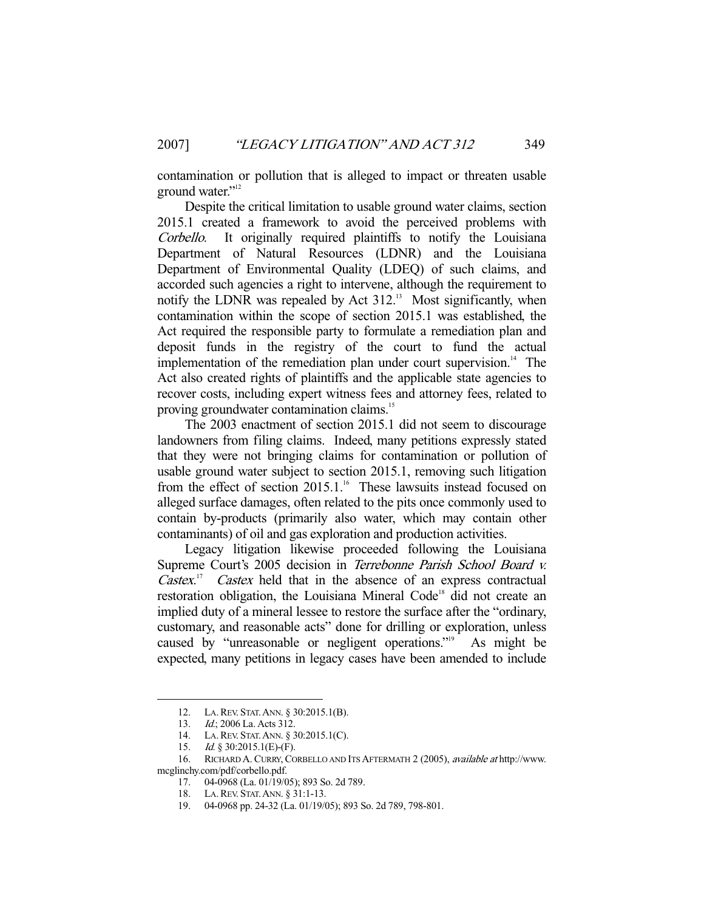contamination or pollution that is alleged to impact or threaten usable ground water."<sup>12</sup>

 Despite the critical limitation to usable ground water claims, section 2015.1 created a framework to avoid the perceived problems with Corbello. It originally required plaintiffs to notify the Louisiana Department of Natural Resources (LDNR) and the Louisiana Department of Environmental Quality (LDEQ) of such claims, and accorded such agencies a right to intervene, although the requirement to notify the LDNR was repealed by Act  $312<sup>13</sup>$  Most significantly, when contamination within the scope of section 2015.1 was established, the Act required the responsible party to formulate a remediation plan and deposit funds in the registry of the court to fund the actual implementation of the remediation plan under court supervision.<sup>14</sup> The Act also created rights of plaintiffs and the applicable state agencies to recover costs, including expert witness fees and attorney fees, related to proving groundwater contamination claims.<sup>15</sup>

 The 2003 enactment of section 2015.1 did not seem to discourage landowners from filing claims. Indeed, many petitions expressly stated that they were not bringing claims for contamination or pollution of usable ground water subject to section 2015.1, removing such litigation from the effect of section  $2015.1$ .<sup>16</sup> These lawsuits instead focused on alleged surface damages, often related to the pits once commonly used to contain by-products (primarily also water, which may contain other contaminants) of oil and gas exploration and production activities.

 Legacy litigation likewise proceeded following the Louisiana Supreme Court's 2005 decision in Terrebonne Parish School Board v. Castex.<sup>17</sup> Castex held that in the absence of an express contractual restoration obligation, the Louisiana Mineral Code<sup>18</sup> did not create an implied duty of a mineral lessee to restore the surface after the "ordinary, customary, and reasonable acts" done for drilling or exploration, unless caused by "unreasonable or negligent operations."19 As might be expected, many petitions in legacy cases have been amended to include

 <sup>12.</sup> LA.REV. STAT.ANN. § 30:2015.1(B).

 <sup>13.</sup> Id.; 2006 La. Acts 312.

<sup>14.</sup> LA. REV. STAT. ANN. § 30:2015.1(C).<br>15. Id. § 30:2015.1(E)-(F).

*Id.* § 30:2015.1(E)-(F).

 <sup>16.</sup> RICHARD A. CURRY, CORBELLO AND ITS AFTERMATH 2 (2005), available at http://www. mcglinchy.com/pdf/corbello.pdf.

 <sup>17. 04-0968 (</sup>La. 01/19/05); 893 So. 2d 789.

 <sup>18.</sup> LA.REV. STAT.ANN. § 31:1-13.

 <sup>19. 04-0968</sup> pp. 24-32 (La. 01/19/05); 893 So. 2d 789, 798-801.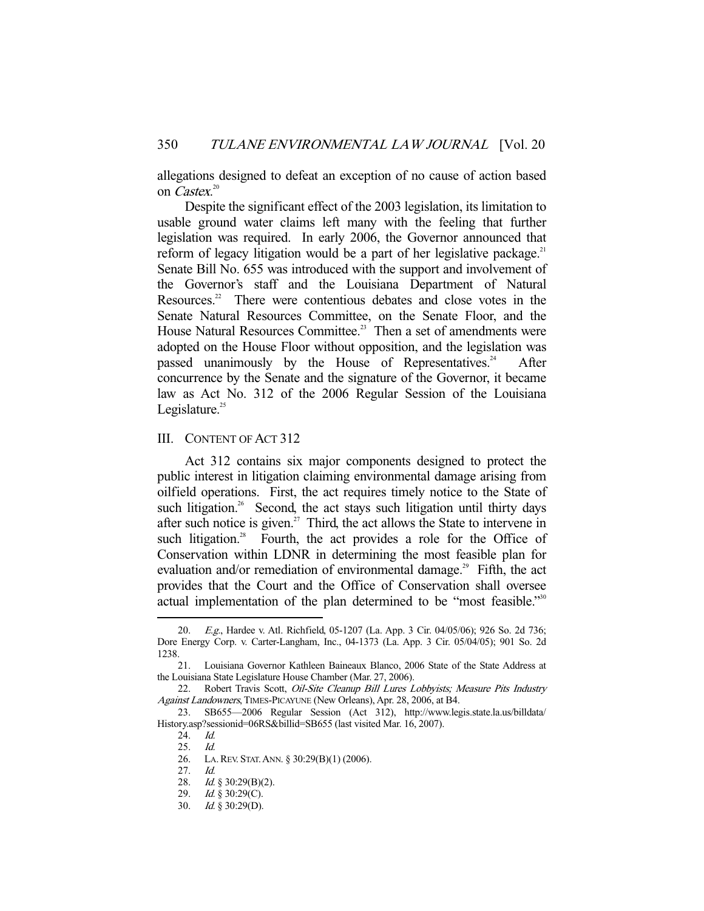allegations designed to defeat an exception of no cause of action based on *Castex*.<sup>20</sup>

 Despite the significant effect of the 2003 legislation, its limitation to usable ground water claims left many with the feeling that further legislation was required. In early 2006, the Governor announced that reform of legacy litigation would be a part of her legislative package.<sup>21</sup> Senate Bill No. 655 was introduced with the support and involvement of the Governor's staff and the Louisiana Department of Natural Resources.<sup>22</sup> There were contentious debates and close votes in the Senate Natural Resources Committee, on the Senate Floor, and the House Natural Resources Committee.<sup>23</sup> Then a set of amendments were adopted on the House Floor without opposition, and the legislation was passed unanimously by the House of Representatives.<sup>24</sup> After concurrence by the Senate and the signature of the Governor, it became law as Act No. 312 of the 2006 Regular Session of the Louisiana Legislature. $25$ 

## III. CONTENT OF ACT 312

 Act 312 contains six major components designed to protect the public interest in litigation claiming environmental damage arising from oilfield operations. First, the act requires timely notice to the State of such litigation.<sup>26</sup> Second, the act stays such litigation until thirty days after such notice is given.<sup>27</sup> Third, the act allows the State to intervene in such litigation.<sup>28</sup> Fourth, the act provides a role for the Office of Conservation within LDNR in determining the most feasible plan for evaluation and/or remediation of environmental damage.<sup>29</sup> Fifth, the act provides that the Court and the Office of Conservation shall oversee actual implementation of the plan determined to be "most feasible."<sup>30</sup>

E.g., Hardee v. Atl. Richfield, 05-1207 (La. App. 3 Cir. 04/05/06); 926 So. 2d 736; Dore Energy Corp. v. Carter-Langham, Inc., 04-1373 (La. App. 3 Cir. 05/04/05); 901 So. 2d 1238.

 <sup>21.</sup> Louisiana Governor Kathleen Baineaux Blanco, 2006 State of the State Address at the Louisiana State Legislature House Chamber (Mar. 27, 2006).

<sup>22.</sup> Robert Travis Scott, Oil-Site Cleanup Bill Lures Lobbyists; Measure Pits Industry Against Landowners, TIMES-PICAYUNE (New Orleans), Apr. 28, 2006, at B4.

 <sup>23.</sup> SB655—2006 Regular Session (Act 312), http://www.legis.state.la.us/billdata/ History.asp?sessionid=06RS&billid=SB655 (last visited Mar. 16, 2007).

 <sup>24.</sup> Id.

 <sup>25.</sup> Id.

 <sup>26.</sup> LA.REV. STAT.ANN. § 30:29(B)(1) (2006).

 <sup>27.</sup> Id.

 <sup>28.</sup> Id. § 30:29(B)(2).

<sup>29.</sup> *Id.* § 30:29(C).

 <sup>30.</sup> Id. § 30:29(D).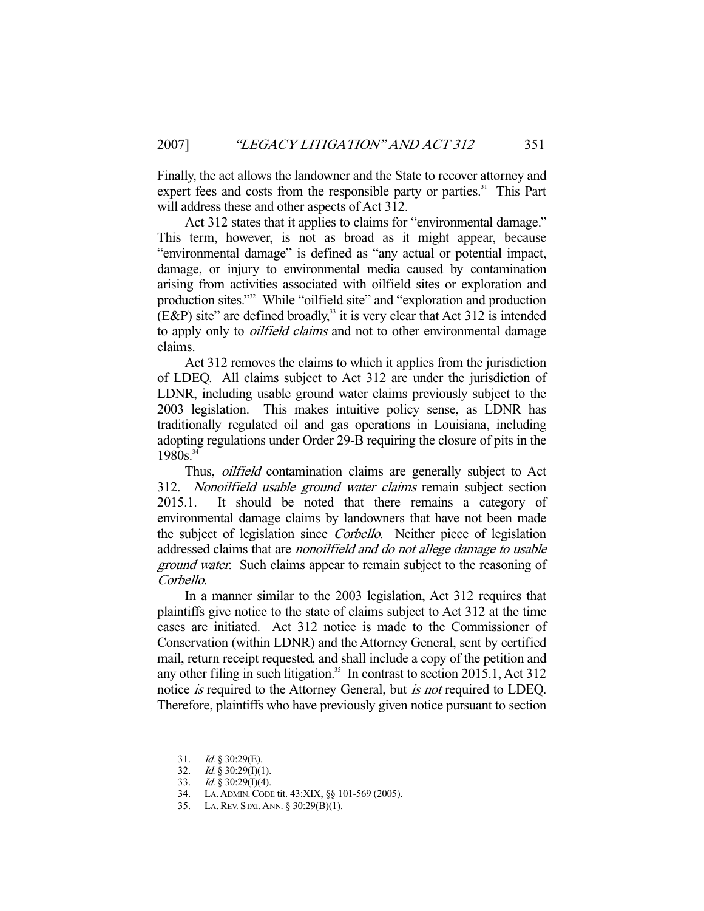Finally, the act allows the landowner and the State to recover attorney and expert fees and costs from the responsible party or parties.<sup>31</sup> This Part will address these and other aspects of Act 312.

 Act 312 states that it applies to claims for "environmental damage." This term, however, is not as broad as it might appear, because "environmental damage" is defined as "any actual or potential impact, damage, or injury to environmental media caused by contamination arising from activities associated with oilfield sites or exploration and production sites."<sup>32</sup> While "oilfield site" and "exploration and production  $(ExP)$  site" are defined broadly,<sup>33</sup> it is very clear that Act 312 is intended to apply only to *oilfield claims* and not to other environmental damage claims.

 Act 312 removes the claims to which it applies from the jurisdiction of LDEQ. All claims subject to Act 312 are under the jurisdiction of LDNR, including usable ground water claims previously subject to the 2003 legislation. This makes intuitive policy sense, as LDNR has traditionally regulated oil and gas operations in Louisiana, including adopting regulations under Order 29-B requiring the closure of pits in the  $1980s.<sup>34</sup>$ 

Thus, *oilfield* contamination claims are generally subject to Act 312. Nonoilfield usable ground water claims remain subject section 2015.1. It should be noted that there remains a category of environmental damage claims by landowners that have not been made the subject of legislation since Corbello. Neither piece of legislation addressed claims that are nonoilfield and do not allege damage to usable ground water. Such claims appear to remain subject to the reasoning of Corbello.

 In a manner similar to the 2003 legislation, Act 312 requires that plaintiffs give notice to the state of claims subject to Act 312 at the time cases are initiated. Act 312 notice is made to the Commissioner of Conservation (within LDNR) and the Attorney General, sent by certified mail, return receipt requested, and shall include a copy of the petition and any other filing in such litigation.<sup>35</sup> In contrast to section 2015.1, Act 312 notice is required to the Attorney General, but is not required to LDEQ. Therefore, plaintiffs who have previously given notice pursuant to section

<sup>31.</sup> *Id.*  $\S 30:29(E)$ .

<sup>32.</sup> Id.  $\S$  30:29(I)(1).

<sup>33.</sup> *Id.*  $\frac{8}{9}$  30:29(I)(4).

 <sup>34.</sup> LA.ADMIN.CODE tit. 43:XIX, §§ 101-569 (2005).

 <sup>35.</sup> LA.REV. STAT.ANN. § 30:29(B)(1).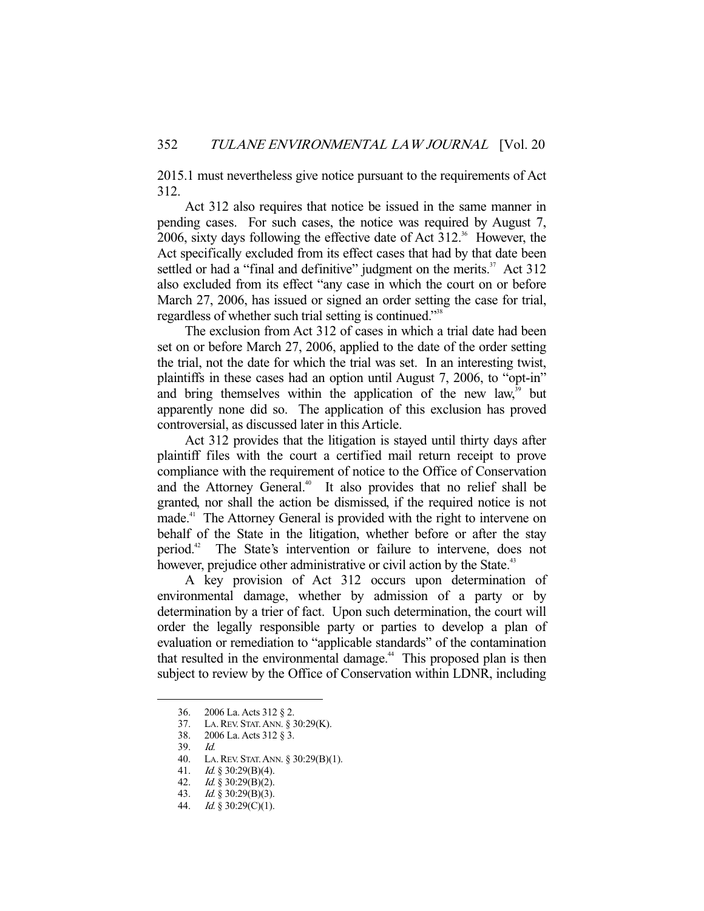2015.1 must nevertheless give notice pursuant to the requirements of Act 312.

 Act 312 also requires that notice be issued in the same manner in pending cases. For such cases, the notice was required by August 7, 2006, sixty days following the effective date of Act  $312$ <sup>36</sup> However, the Act specifically excluded from its effect cases that had by that date been settled or had a "final and definitive" judgment on the merits. $37$  Act 312 also excluded from its effect "any case in which the court on or before March 27, 2006, has issued or signed an order setting the case for trial, regardless of whether such trial setting is continued."<sup>38</sup>

 The exclusion from Act 312 of cases in which a trial date had been set on or before March 27, 2006, applied to the date of the order setting the trial, not the date for which the trial was set. In an interesting twist, plaintiffs in these cases had an option until August 7, 2006, to "opt-in" and bring themselves within the application of the new law, $39$  but apparently none did so. The application of this exclusion has proved controversial, as discussed later in this Article.

 Act 312 provides that the litigation is stayed until thirty days after plaintiff files with the court a certified mail return receipt to prove compliance with the requirement of notice to the Office of Conservation and the Attorney General.<sup>40</sup> It also provides that no relief shall be granted, nor shall the action be dismissed, if the required notice is not made.<sup>41</sup> The Attorney General is provided with the right to intervene on behalf of the State in the litigation, whether before or after the stay period.42 The State's intervention or failure to intervene, does not however, prejudice other administrative or civil action by the State.<sup>43</sup>

 A key provision of Act 312 occurs upon determination of environmental damage, whether by admission of a party or by determination by a trier of fact. Upon such determination, the court will order the legally responsible party or parties to develop a plan of evaluation or remediation to "applicable standards" of the contamination that resulted in the environmental damage.<sup>44</sup> This proposed plan is then subject to review by the Office of Conservation within LDNR, including

 <sup>36. 2006</sup> La. Acts 312 § 2.

 <sup>37.</sup> LA.REV. STAT.ANN. § 30:29(K).

 <sup>38. 2006</sup> La. Acts 312 § 3.

 <sup>39.</sup> Id.

 <sup>40.</sup> LA.REV. STAT.ANN. § 30:29(B)(1).

<sup>41.</sup> *Id.* § 30:29(B)(4).

<sup>42.</sup> *Id.* § 30:29(B)(2).

 <sup>43.</sup> Id. § 30:29(B)(3).

 <sup>44.</sup> Id. § 30:29(C)(1).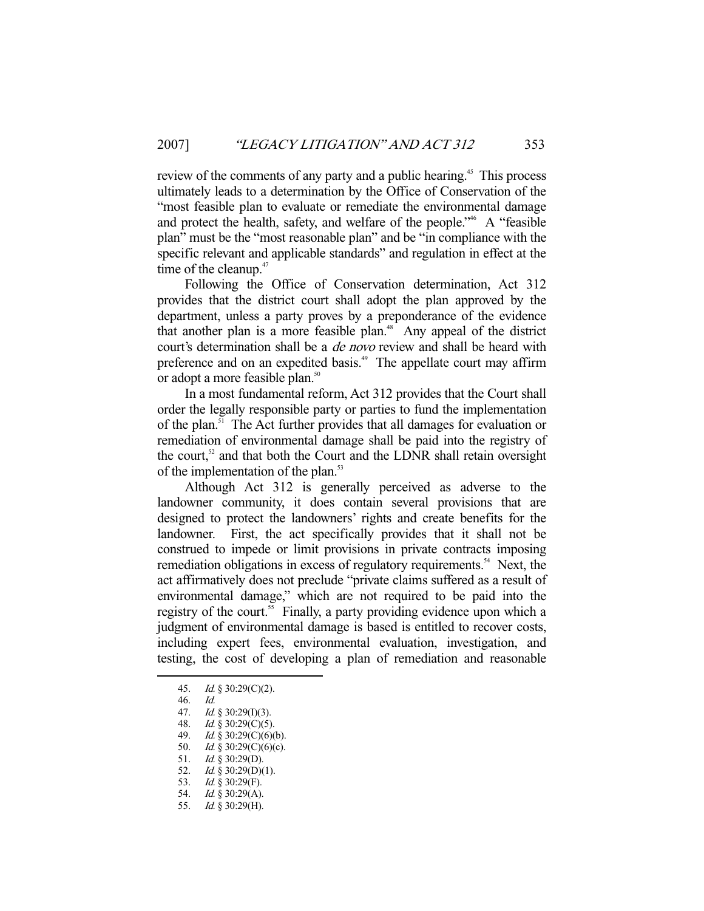review of the comments of any party and a public hearing.<sup>45</sup> This process ultimately leads to a determination by the Office of Conservation of the "most feasible plan to evaluate or remediate the environmental damage and protect the health, safety, and welfare of the people."<sup>46</sup> A "feasible" plan" must be the "most reasonable plan" and be "in compliance with the specific relevant and applicable standards" and regulation in effect at the time of the cleanup. $47$ 

 Following the Office of Conservation determination, Act 312 provides that the district court shall adopt the plan approved by the department, unless a party proves by a preponderance of the evidence that another plan is a more feasible plan.<sup>48</sup> Any appeal of the district court's determination shall be a *de novo* review and shall be heard with preference and on an expedited basis.<sup>49</sup> The appellate court may affirm or adopt a more feasible plan.<sup>50</sup>

 In a most fundamental reform, Act 312 provides that the Court shall order the legally responsible party or parties to fund the implementation of the plan.51 The Act further provides that all damages for evaluation or remediation of environmental damage shall be paid into the registry of the court, $52$  and that both the Court and the LDNR shall retain oversight of the implementation of the plan.<sup>53</sup>

 Although Act 312 is generally perceived as adverse to the landowner community, it does contain several provisions that are designed to protect the landowners' rights and create benefits for the landowner. First, the act specifically provides that it shall not be construed to impede or limit provisions in private contracts imposing remediation obligations in excess of regulatory requirements.<sup>54</sup> Next, the act affirmatively does not preclude "private claims suffered as a result of environmental damage," which are not required to be paid into the registry of the court.<sup>55</sup> Finally, a party providing evidence upon which a judgment of environmental damage is based is entitled to recover costs, including expert fees, environmental evaluation, investigation, and testing, the cost of developing a plan of remediation and reasonable

46. Id.

- 47. Id. § 30:29(I)(3).
- 48. *Id.* § 30:29(C)(5).<br>49. *Id.* § 30:29(C)(6)(
- $Id. \S$  30:29(C)(6)(b).
- 50. *Id.* § 30:29(C)(6)(c).
- 51. Id. § 30:29(D).
- 52. *Id.* § 30:29(D)(1).
- 53. Id. § 30:29(F).
- 54. Id. § 30:29(A).
- 55. Id. § 30:29(H).

 <sup>45.</sup> Id. § 30:29(C)(2).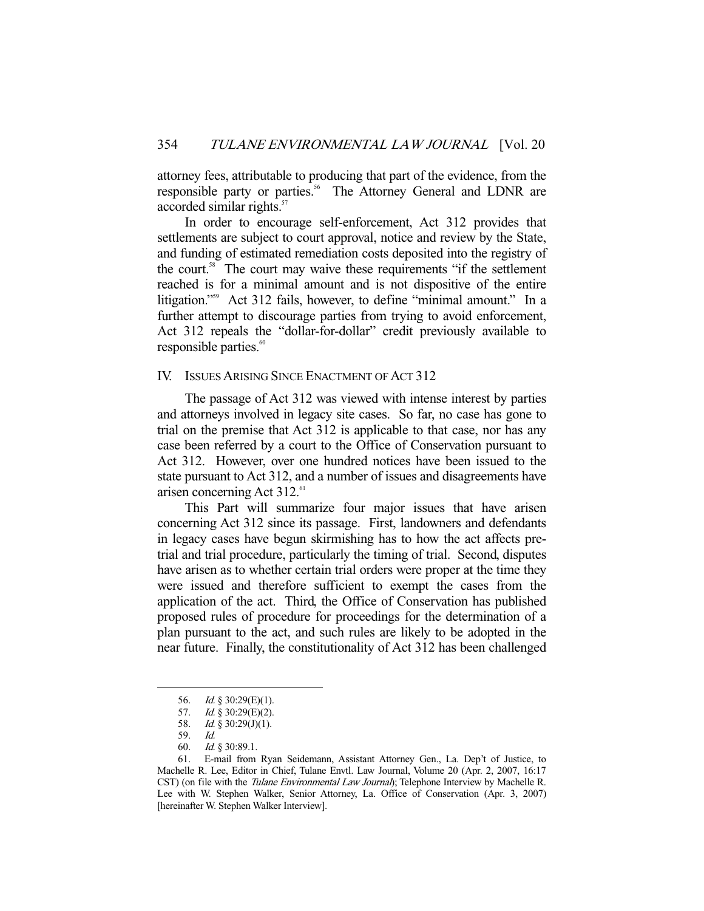attorney fees, attributable to producing that part of the evidence, from the responsible party or parties.<sup>56</sup> The Attorney General and LDNR are accorded similar rights.<sup>57</sup>

 In order to encourage self-enforcement, Act 312 provides that settlements are subject to court approval, notice and review by the State, and funding of estimated remediation costs deposited into the registry of the court.<sup>58</sup> The court may waive these requirements "if the settlement reached is for a minimal amount and is not dispositive of the entire litigation."59 Act 312 fails, however, to define "minimal amount." In a further attempt to discourage parties from trying to avoid enforcement, Act 312 repeals the "dollar-for-dollar" credit previously available to responsible parties.<sup>60</sup>

#### IV. ISSUES ARISING SINCE ENACTMENT OF ACT 312

 The passage of Act 312 was viewed with intense interest by parties and attorneys involved in legacy site cases. So far, no case has gone to trial on the premise that Act 312 is applicable to that case, nor has any case been referred by a court to the Office of Conservation pursuant to Act 312. However, over one hundred notices have been issued to the state pursuant to Act 312, and a number of issues and disagreements have arisen concerning Act  $312.<sup>61</sup>$ 

 This Part will summarize four major issues that have arisen concerning Act 312 since its passage. First, landowners and defendants in legacy cases have begun skirmishing has to how the act affects pretrial and trial procedure, particularly the timing of trial. Second, disputes have arisen as to whether certain trial orders were proper at the time they were issued and therefore sufficient to exempt the cases from the application of the act. Third, the Office of Conservation has published proposed rules of procedure for proceedings for the determination of a plan pursuant to the act, and such rules are likely to be adopted in the near future. Finally, the constitutionality of Act 312 has been challenged

 <sup>56.</sup> Id. § 30:29(E)(1).

<sup>57.</sup> *Id.* § 30:29(E)(2).

<sup>58.</sup> *Id.* § 30:29(J)(1).

 <sup>59.</sup> Id.

 <sup>60.</sup> Id. § 30:89.1.

 <sup>61.</sup> E-mail from Ryan Seidemann, Assistant Attorney Gen., La. Dep't of Justice, to Machelle R. Lee, Editor in Chief, Tulane Envtl. Law Journal, Volume 20 (Apr. 2, 2007, 16:17 CST) (on file with the *Tulane Environmental Law Journal*); Telephone Interview by Machelle R. Lee with W. Stephen Walker, Senior Attorney, La. Office of Conservation (Apr. 3, 2007) [hereinafter W. Stephen Walker Interview].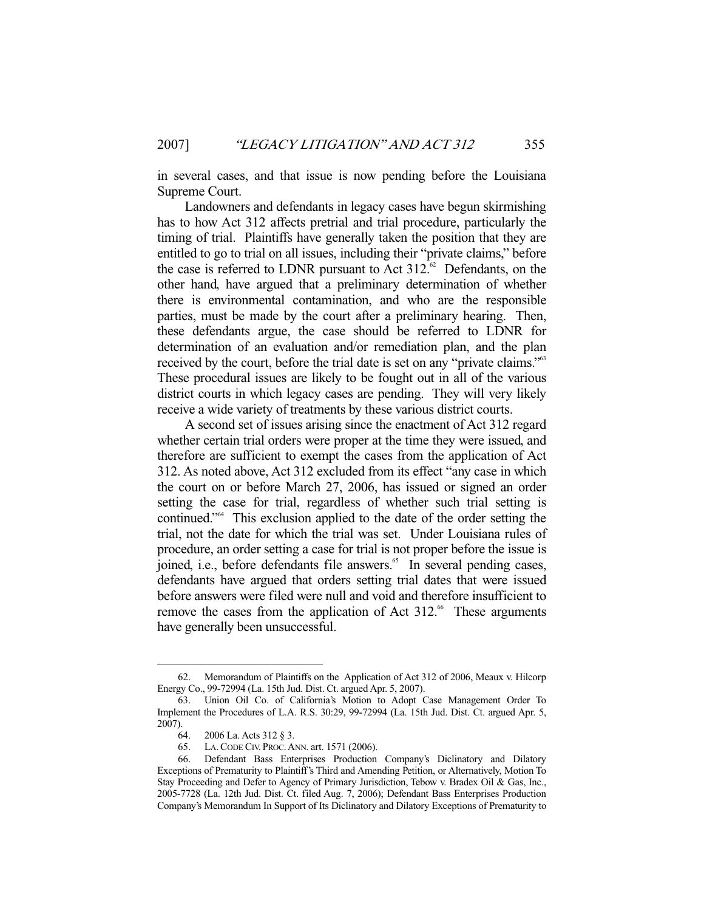in several cases, and that issue is now pending before the Louisiana Supreme Court.

 Landowners and defendants in legacy cases have begun skirmishing has to how Act 312 affects pretrial and trial procedure, particularly the timing of trial. Plaintiffs have generally taken the position that they are entitled to go to trial on all issues, including their "private claims," before the case is referred to LDNR pursuant to Act  $312$ .<sup>62</sup> Defendants, on the other hand, have argued that a preliminary determination of whether there is environmental contamination, and who are the responsible parties, must be made by the court after a preliminary hearing. Then, these defendants argue, the case should be referred to LDNR for determination of an evaluation and/or remediation plan, and the plan received by the court, before the trial date is set on any "private claims."63 These procedural issues are likely to be fought out in all of the various district courts in which legacy cases are pending. They will very likely receive a wide variety of treatments by these various district courts.

 A second set of issues arising since the enactment of Act 312 regard whether certain trial orders were proper at the time they were issued, and therefore are sufficient to exempt the cases from the application of Act 312. As noted above, Act 312 excluded from its effect "any case in which the court on or before March 27, 2006, has issued or signed an order setting the case for trial, regardless of whether such trial setting is continued."64 This exclusion applied to the date of the order setting the trial, not the date for which the trial was set. Under Louisiana rules of procedure, an order setting a case for trial is not proper before the issue is joined, i.e., before defendants file answers.<sup>65</sup> In several pending cases, defendants have argued that orders setting trial dates that were issued before answers were filed were null and void and therefore insufficient to remove the cases from the application of Act 312.<sup>66</sup> These arguments have generally been unsuccessful.

 <sup>62.</sup> Memorandum of Plaintiffs on the Application of Act 312 of 2006, Meaux v. Hilcorp Energy Co., 99-72994 (La. 15th Jud. Dist. Ct. argued Apr. 5, 2007).

 <sup>63.</sup> Union Oil Co. of California's Motion to Adopt Case Management Order To Implement the Procedures of L.A. R.S. 30:29, 99-72994 (La. 15th Jud. Dist. Ct. argued Apr. 5, 2007).

 <sup>64. 2006</sup> La. Acts 312 § 3.

 <sup>65.</sup> LA.CODE CIV. PROC.ANN. art. 1571 (2006).

 <sup>66.</sup> Defendant Bass Enterprises Production Company's Diclinatory and Dilatory Exceptions of Prematurity to Plaintiff's Third and Amending Petition, or Alternatively, Motion To Stay Proceeding and Defer to Agency of Primary Jurisdiction, Tebow v. Bradex Oil & Gas, Inc., 2005-7728 (La. 12th Jud. Dist. Ct. filed Aug. 7, 2006); Defendant Bass Enterprises Production Company's Memorandum In Support of Its Diclinatory and Dilatory Exceptions of Prematurity to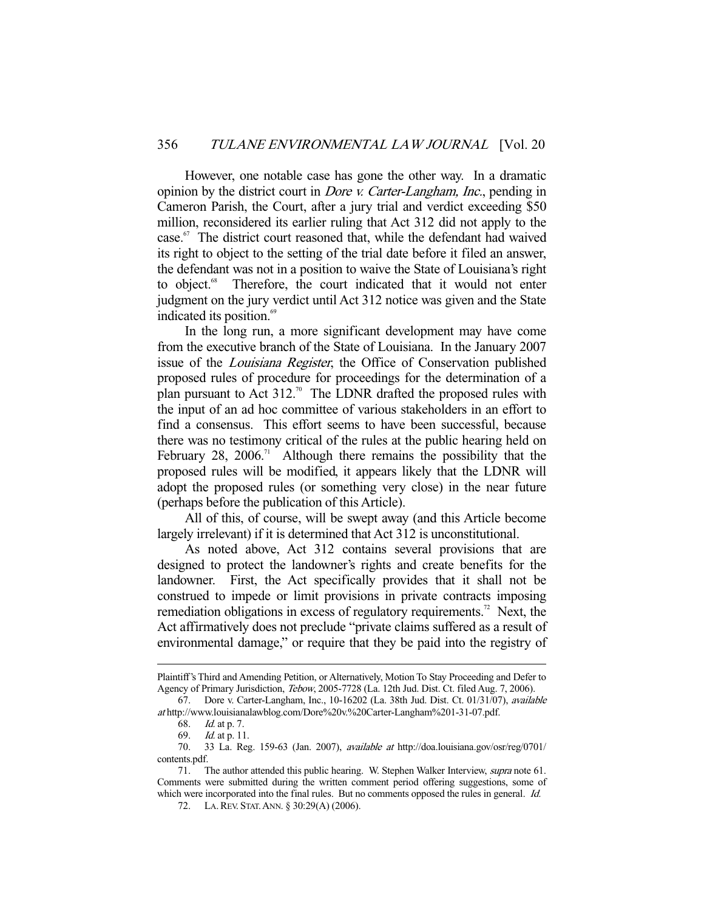However, one notable case has gone the other way. In a dramatic opinion by the district court in Dore v. Carter-Langham, Inc., pending in Cameron Parish, the Court, after a jury trial and verdict exceeding \$50 million, reconsidered its earlier ruling that Act 312 did not apply to the case. $67$  The district court reasoned that, while the defendant had waived its right to object to the setting of the trial date before it filed an answer, the defendant was not in a position to waive the State of Louisiana's right to object.<sup>68</sup> Therefore, the court indicated that it would not enter judgment on the jury verdict until Act 312 notice was given and the State indicated its position.<sup>69</sup>

 In the long run, a more significant development may have come from the executive branch of the State of Louisiana. In the January 2007 issue of the Louisiana Register, the Office of Conservation published proposed rules of procedure for proceedings for the determination of a plan pursuant to Act  $312.^{70}$  The LDNR drafted the proposed rules with the input of an ad hoc committee of various stakeholders in an effort to find a consensus. This effort seems to have been successful, because there was no testimony critical of the rules at the public hearing held on February 28, 2006.<sup>71</sup> Although there remains the possibility that the proposed rules will be modified, it appears likely that the LDNR will adopt the proposed rules (or something very close) in the near future (perhaps before the publication of this Article).

 All of this, of course, will be swept away (and this Article become largely irrelevant) if it is determined that Act 312 is unconstitutional.

 As noted above, Act 312 contains several provisions that are designed to protect the landowner's rights and create benefits for the landowner. First, the Act specifically provides that it shall not be construed to impede or limit provisions in private contracts imposing remediation obligations in excess of regulatory requirements.<sup>72</sup> Next, the Act affirmatively does not preclude "private claims suffered as a result of environmental damage," or require that they be paid into the registry of

Plaintiff's Third and Amending Petition, or Alternatively, Motion To Stay Proceeding and Defer to Agency of Primary Jurisdiction, Tebow, 2005-7728 (La. 12th Jud. Dist. Ct. filed Aug. 7, 2006).

 <sup>67.</sup> Dore v. Carter-Langham, Inc., 10-16202 (La. 38th Jud. Dist. Ct. 01/31/07), available at http://www.louisianalawblog.com/Dore%20v.%20Carter-Langham%201-31-07.pdf.

 <sup>68.</sup> Id. at p. 7.

 <sup>69.</sup> Id. at p. 11.

 <sup>70. 33</sup> La. Reg. 159-63 (Jan. 2007), available at http://doa.louisiana.gov/osr/reg/0701/ contents.pdf.

<sup>71.</sup> The author attended this public hearing. W. Stephen Walker Interview, supra note 61. Comments were submitted during the written comment period offering suggestions, some of which were incorporated into the final rules. But no comments opposed the rules in general. Id.

 <sup>72.</sup> LA.REV. STAT.ANN. § 30:29(A) (2006).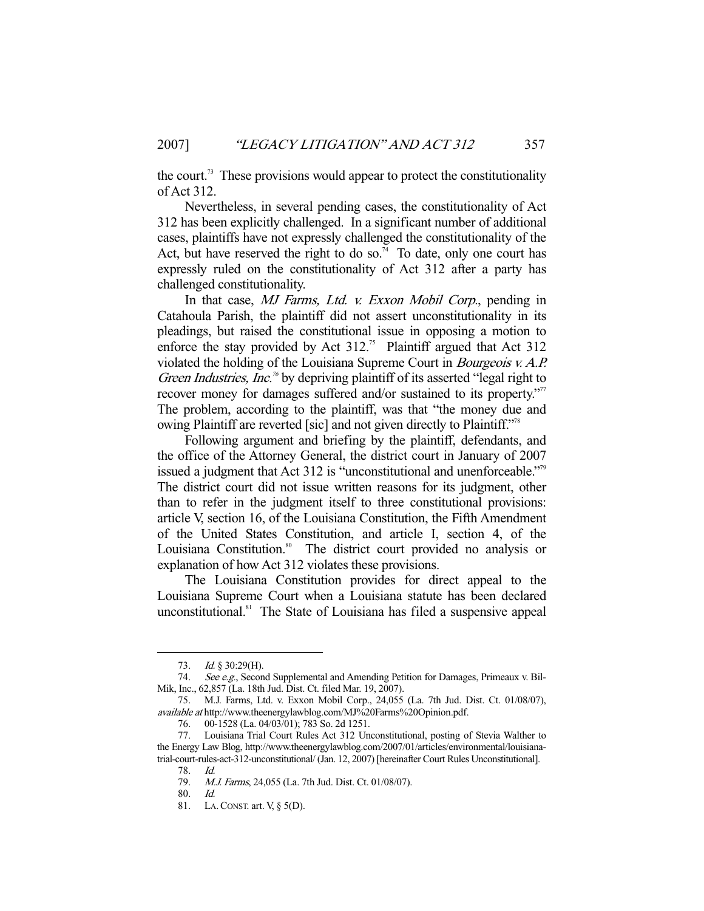the court.<sup>73</sup> These provisions would appear to protect the constitutionality of Act 312.

 Nevertheless, in several pending cases, the constitutionality of Act 312 has been explicitly challenged. In a significant number of additional cases, plaintiffs have not expressly challenged the constitutionality of the Act, but have reserved the right to do so.<sup>74</sup> To date, only one court has expressly ruled on the constitutionality of Act 312 after a party has challenged constitutionality.

In that case, MJ Farms, Ltd. v. Exxon Mobil Corp., pending in Catahoula Parish, the plaintiff did not assert unconstitutionality in its pleadings, but raised the constitutional issue in opposing a motion to enforce the stay provided by Act  $312$ <sup>75</sup> Plaintiff argued that Act  $312$ violated the holding of the Louisiana Supreme Court in Bourgeois v. A.P. Green Industries, Inc.<sup>76</sup> by depriving plaintiff of its asserted "legal right to recover money for damages suffered and/or sustained to its property."<sup>77</sup> The problem, according to the plaintiff, was that "the money due and owing Plaintiff are reverted [sic] and not given directly to Plaintiff."<sup>78</sup>

 Following argument and briefing by the plaintiff, defendants, and the office of the Attorney General, the district court in January of 2007 issued a judgment that Act 312 is "unconstitutional and unenforceable."<sup>39</sup> The district court did not issue written reasons for its judgment, other than to refer in the judgment itself to three constitutional provisions: article V, section 16, of the Louisiana Constitution, the Fifth Amendment of the United States Constitution, and article I, section 4, of the Louisiana Constitution.<sup>80</sup> The district court provided no analysis or explanation of how Act 312 violates these provisions.

 The Louisiana Constitution provides for direct appeal to the Louisiana Supreme Court when a Louisiana statute has been declared unconstitutional.<sup>81</sup> The State of Louisiana has filed a suspensive appeal

 <sup>73.</sup> Id. § 30:29(H).

<sup>74.</sup> See e.g., Second Supplemental and Amending Petition for Damages, Primeaux v. Bil-Mik, Inc., 62,857 (La. 18th Jud. Dist. Ct. filed Mar. 19, 2007).

 <sup>75.</sup> M.J. Farms, Ltd. v. Exxon Mobil Corp., 24,055 (La. 7th Jud. Dist. Ct. 01/08/07), available at http://www.theenergylawblog.com/MJ%20Farms%20Opinion.pdf.

 <sup>76. 00-1528 (</sup>La. 04/03/01); 783 So. 2d 1251.

 <sup>77.</sup> Louisiana Trial Court Rules Act 312 Unconstitutional, posting of Stevia Walther to the Energy Law Blog, http://www.theenergylawblog.com/2007/01/articles/environmental/louisianatrial-court-rules-act-312-unconstitutional/ (Jan. 12, 2007) [hereinafter Court Rules Unconstitutional].

 <sup>78.</sup> Id.

 <sup>79.</sup> M.J. Farms, 24,055 (La. 7th Jud. Dist. Ct. 01/08/07).

 <sup>80.</sup> Id.

 <sup>81.</sup> LA.CONST. art. V, § 5(D).